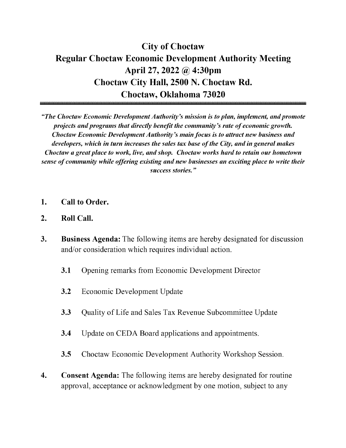# City of Choctaw Regular Choctaw Economic Development Authority Meeting April 27, 2022 @ 4:30pm Choctaw City Hall, 2500 N. Choctaw Rd. Choctaw, Oklahoma 73020

"The Choctaw Economic Development Authority's mission is to plan, implement, and promote projects and programs that directly benefit the community's rate of economic growth. Choctaw Economic Development Authority's main focus is to attract new business and developers, which in turn increases the sales tax base of the City, and in general makes Choctaw a great place to work, live, and shop. Choctaw works hard to retain our hometown sense of community while offering existing and new businesses an exciting place to write their success stories."

- 1. Call to Order.
- 2. Roll Call.
- 3. Business Agenda: The following items are hereby designated for discussion and/or consideration which requires individual action.
	- 3.1 Opening remarks from Economic Development Director
	- 3.2 Economic Development Update
	- 3.3 Quality of Life and Sales Tax Revenue Subcommittee Update
	- 3.4 Update on CEDA Board applications and appointments.
	- 3.5 Choctaw Economic Development Authority Workshop Session.
- 4. Consent Agenda: The following items are hereby designated for routine approval, acceptance or acknowledgment by one motion, subject to any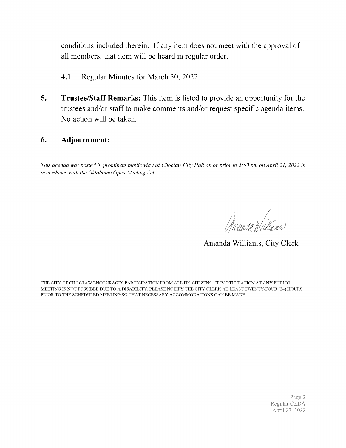conditions included therein. If any item does not meet with the approval of all members, that item will be heard in regular order.

- 4.1 Regular Minutes for March 30, 2022.
- 5. Trustee/Staff Remarks: This item is listed to provide an opportunity for the trustees and/or staff to make comments and/or request specific agenda items. No action will be taken.
- 6. Adjournment:

This agenda was posted in prominent public view at Choctaw City Hall on or prior to S: 00 pm on April 21, 2022 in accordance with the Oklahoma Open Meeting Act.

Amanda Wullams

Amanda Williams, City Clerk

THE CITY OF CHOCTAW ENCOURAGES PARTICIPATION FROM ALL ITS CITIZENS. IF PARTICIPATION AT ANY PUBLIC MEETING IS NOT POSSIBLE DUE TO A DISABILITY, PLEASE NOTIFY THE CITY CLERK AT LEAST TWENTY- FOUR( 24) HOURS PRIOR TO THE SCHEDULED MEETING SO THAT NECESSARY ACCOMMODATIONS CAN BE MADE.

> Page 2 Regular CEDA April 27, 2022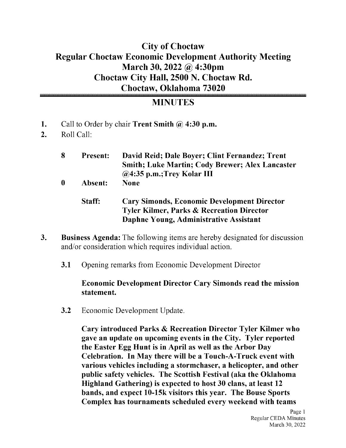### City of Choctaw Regular Choctaw Economic Development Authority Meeting March 30, 2022 @ 4:30pm Choctaw City Hall, 2500 N. Choctaw Rd. Choctaw, Oklahoma 73020

## MINUTES

- 1. Call to Order by chair Trent Smith  $\omega$  4:30 p.m.
- 2. Roll Call:

| 8            | <b>Present:</b> | David Reid; Dale Boyer; Clint Fernandez; Trent<br><b>Smith; Luke Martin; Cody Brewer; Alex Lancaster</b><br>@4:35 p.m.; Trey Kolar III               |
|--------------|-----------------|------------------------------------------------------------------------------------------------------------------------------------------------------|
| $\mathbf{0}$ | Absent:         | <b>None</b>                                                                                                                                          |
|              | Staff:          | <b>Cary Simonds, Economic Development Director</b><br><b>Tyler Kilmer, Parks &amp; Recreation Director</b><br>Daphne Young, Administrative Assistant |

- 3. Business Agenda: The following items are hereby designated for discussion and/or consideration which requires individual action.
	- 3.1 Opening remarks from Economic Development Director

#### Economic Development Director Cary Simonds read the mission statement.

3.2 Economic Development Update.

Cary introduced Parks & Recreation Director Tyler Kilmer who gave an update on upcoming events in the City. Tyler reported the Easter Egg Hunt is in April as well as the Arbor Day Celebration. In May there will be a Touch-A-Truck event with various vehicles including a stormchaser, a helicopter, and other public safety vehicles. The Scottish Festival ( aka the Oklahoma Highland Gathering) is expected to host 30 clans, at least 12 bands, and expect 10-15k visitors this year. The Bouse Sports Complex has tournaments scheduled every weekend with teams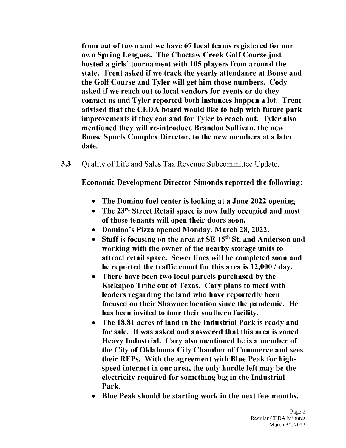from out of town and we have 67 local teams registered for our own Spring Leagues. The Choctaw Creek Golf Course just hosted a girls' tournament with 105 players from around the state. Trent asked if we track the yearly attendance at Bouse and the Golf Course and Tyler will get him those numbers. Cody asked if we reach out to local vendors for events or do they contact us and Tyler reported both instances happen <sup>a</sup> lot. Trent advised that the CEDA board would like to help with future park improvements if they can and for Tyler to reach out. Tyler also mentioned they will re-introduce Brandon Sullivan, the new Bouse Sports Complex Director, to the new members at a later date.

**3.3** Quality of Life and Sales Tax Revenue Subcommittee Update.

Economic Development Director Simonds reported the following:

- The Domino fuel center is looking at a June 2022 opening.
- The 23rd Street Retail space is now fully occupied and most of those tenants will open their doors soon.
- Domino's Pizza opened Monday, March 28, 2022.
- Staff is focusing on the area at SE 15<sup>th</sup> St. and Anderson and working with the owner of the nearby storage units to attract retail space. Sewer lines will be completed soon and he reported the traffic count for this area is 12,000 / day.
- There have been two local parcels purchased by the Kickapoo Tribe out of Texas. Cary plans to meet with leaders regarding the land who have reportedly been focused on their Shawnee location since the pandemic. He has been invited to tour their southern facility.
- The 18. 81 acres of land in the Industrial Park is ready and for sale. It was asked and answered that this area is zoned Heavy Industrial. Cary also mentioned he is <sup>a</sup> member of the City of Oklahoma City Chamber of Commerce and sees their RFPs. With the agreement with Blue Peak for highspeed internet in our area, the only hurdle left may be the electricity required for something big in the Industrial Park.
- Blue Peak should be starting work in the next few months.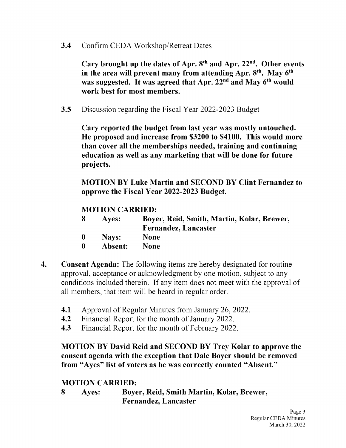3.4 Confirm CEDA Workshop/Retreat Dates

Cary brought up the dates of Apr.  $8<sup>th</sup>$  and Apr. 22<sup>nd</sup>. Other events in the area will prevent many from attending Apr.  $8<sup>th</sup>$ . May  $6<sup>th</sup>$ was suggested. It was agreed that Apr. 22<sup>nd</sup> and May 6<sup>th</sup> would work best for most members.

**3.5** Discussion regarding the Fiscal Year 2022-2023 Budget

Cary reported the budget from last year was mostly untouched. He proposed and increase from \$3200 to \$4100. This would more than cover all the memberships needed, training and continuing education as well as any marketing that will be done for future projects.

MOTION BY Luke Martin and SECOND BY Clint Fernandez to approve the Fiscal Year 2022-2023 Budget.

### MOTION CARRIED:

| 8            | <b>Aves:</b> | Boyer, Reid, Smith, Martin, Kolar, Brewer, |
|--------------|--------------|--------------------------------------------|
|              |              | <b>Fernandez, Lancaster</b>                |
| $\bf{0}$     | Navs:        | <b>None</b>                                |
| $\mathbf{0}$ | Absent:      | <b>None</b>                                |

- 4. Consent Agenda: The following items are hereby designated for routine approval, acceptance or acknowledgment by one motion, subject to any conditions included therein. If any item does not meet with the approval of all members, that item will be heard in regular order.
	- 4.1 Approval of Regular Minutes from January 26, 2022.<br>4.2 Financial Report for the month of January 2022.
	- 4.2 Financial Report for the month of January 2022.<br>4.3 Financial Report for the month of February 2022
	- Financial Report for the month of February 2022.

#### MOTION BY David Reid and SECOND BY Trey Kolar to approve the consent agenda with the exception that Dale Boyer should be removed from "Ayes" list of voters as he was correctly counted "Absent."

#### MOTION CARRIED:

<sup>8</sup> Ayes: Boyer, Reid, Smith Martin, Kolar, Brewer, Fernandez, Lancaster